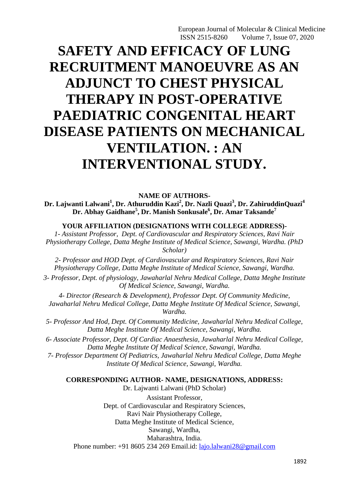# **SAFETY AND EFFICACY OF LUNG RECRUITMENT MANOEUVRE AS AN ADJUNCT TO CHEST PHYSICAL THERAPY IN POST-OPERATIVE PAEDIATRIC CONGENITAL HEART DISEASE PATIENTS ON MECHANICAL VENTILATION. : AN INTERVENTIONAL STUDY.**

**NAME OF AUTHORS-Dr. Lajwanti Lalwani<sup>1</sup> , Dr. Athuruddin Kazi<sup>2</sup> , Dr. Nazli Quazi<sup>3</sup> , Dr. ZahiruddinQuazi<sup>4</sup> Dr. Abhay Gaidhane<sup>5</sup> , Dr. Manish Sonkusale<sup>6</sup> , Dr. Amar Taksande<sup>7</sup>**

**YOUR AFFILIATION (DESIGNATIONS WITH COLLEGE ADDRESS)-**

*1- Assistant Professor, Dept. of Cardiovascular and Respiratory Sciences, Ravi Nair Physiotherapy College, Datta Meghe Institute of Medical Science, Sawangi, Wardha. (PhD Scholar)*

*2- Professor and HOD Dept. of Cardiovascular and Respiratory Sciences, Ravi Nair Physiotherapy College, Datta Meghe Institute of Medical Science, Sawangi, Wardha.*

*3- Professor, Dept. of physiology, Jawaharlal Nehru Medical College, Datta Meghe Institute Of Medical Science, Sawangi, Wardha.*

*4- Director (Research & Development), Professor Dept. Of Community Medicine, Jawaharlal Nehru Medical College, Datta Meghe Institute Of Medical Science, Sawangi, Wardha.*

*5- Professor And Hod, Dept. Of Community Medicine, Jawaharlal Nehru Medical College, Datta Meghe Institute Of Medical Science, Sawangi, Wardha.*

*6- Associate Professor, Dept. Of Cardiac Anaesthesia, Jawaharlal Nehru Medical College, Datta Meghe Institute Of Medical Science, Sawangi, Wardha.*

*7- Professor Department Of Pediatrics, Jawaharlal Nehru Medical College, Datta Meghe Institute Of Medical Science, Sawangi, Wardha.*

## **CORRESPONDING AUTHOR- NAME, DESIGNATIONS, ADDRESS:**

Dr. Lajwanti Lalwani (PhD Scholar) Assistant Professor, Dept. of Cardiovascular and Respiratory Sciences, Ravi Nair Physiotherapy College, Datta Meghe Institute of Medical Science, Sawangi, Wardha, Maharashtra, India. Phone number: +91 8605 234 269 Email.id: [lajo.lalwani28@gmail.com](mailto:lajo.lalwani28@gmail.com)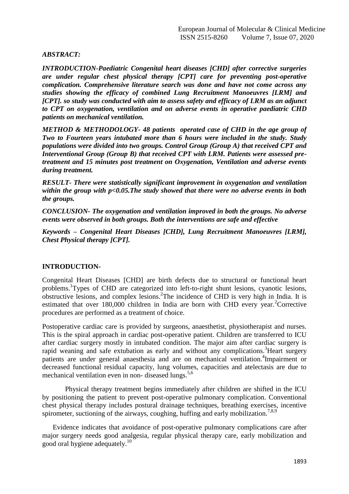## *ABSTRACT:*

*INTRODUCTION-Paediatric Congenital heart diseases [CHD] after corrective surgeries are under regular chest physical therapy [CPT] care for preventing post-operative complication. Comprehensive literature search was done and have not come across any studies showing the efficacy of combined Lung Recruitment Manoeuvres [LRM] and [CPT]. so study was conducted with aim to assess safety and efficacy of LRM as an adjunct to CPT on oxygenation, ventilation and on adverse events in operative paediatric CHD patients on mechanical ventilation.* 

*METHOD & METHODOLOGY- 48 patients operated case of CHD in the age group of Two to Fourteen years intubated more than 6 hours were included in the study. Study populations were divided into two groups. Control Group (Group A) that received CPT and Interventional Group (Group B) that received CPT with LRM. Patients were assessed pretreatment and 15 minutes post treatment on Oxygenation, Ventilation and adverse events during treatment.* 

*RESULT- There were statistically significant improvement in oxygenation and ventilation within the group with p<0.05.The study showed that there were no adverse events in both the groups.* 

*CONCLUSION- The oxygenation and ventilation improved in both the groups. No adverse events were observed in both groups. Both the interventions are safe and effective* 

*Keywords – Congenital Heart Diseases [CHD], Lung Recruitment Manoeuvres [LRM], Chest Physical therapy [CPT].*

# **INTRODUCTION-**

Congenital Heart Diseases [CHD] are birth defects due to structural or functional heart problems.<sup>1</sup>Types of CHD are categorized into left-to-right shunt lesions, cyanotic lesions, obstructive lesions, and complex lesions.<sup>2</sup>The incidence of CHD is very high in India. It is estimated that over  $180,000$  children in India are born with CHD every year.<sup>2</sup>Corrective procedures are performed as a treatment of choice.

Postoperative cardiac care is provided by surgeons, anaesthetist, physiotherapist and nurses. This is the spiral approach in cardiac post-operative patient. Children are transferred to ICU after cardiac surgery mostly in intubated condition. The major aim after cardiac surgery is rapid weaning and safe extubation as early and without any complications.<sup>3</sup>Heart surgery patients are under general anaesthesia and are on mechanical ventilation.<sup>4</sup>Impairment or decreased functional residual capacity, lung volumes, capacities and atelectasis are due to mechanical ventilation even in non-diseased lungs.<sup>5,6</sup>

Physical therapy treatment begins immediately after children are shifted in the ICU by positioning the patient to prevent post-operative pulmonary complication. Conventional chest physical therapy includes postural drainage techniques, breathing exercises, incentive spirometer, suctioning of the airways, coughing, huffing and early mobilization.<sup>7,8,9</sup>

Evidence indicates that avoidance of post-operative pulmonary complications care after major surgery needs good analgesia, regular physical therapy care, early mobilization and good oral hygiene adequately.<sup>10</sup>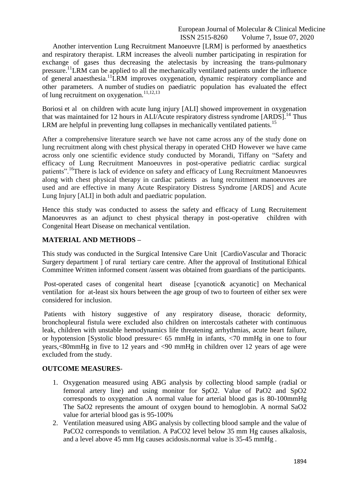Another intervention Lung Recruitment Manoeuvre [LRM] is performed by anaesthetics and respiratory therapist. LRM increases the alveoli number participating in respiration for exchange of gases thus decreasing the atelectasis by increasing the trans-pulmonary pressure.<sup>11</sup>LRM can be applied to all the mechanically ventilated patients under the influence of general anaesthesia.<sup>11</sup>LRM improves oxygenation, dynamic respiratory compliance and other parameters. A number of studies on paediatric population has evaluated the effect of lung recruitment on oxygenation.<sup>11,12,13</sup>

Boriosi et al on children with acute lung injury [ALI] showed improvement in oxygenation that was maintained for 12 hours in ALI/Acute respiratory distress syndrome  $[ARDS]$ <sup>14</sup>. Thus LRM are helpful in preventing lung collapses in mechanically ventilated patients.<sup>15</sup>

After a comprehensive literature search we have not came across any of the study done on lung recruitment along with chest physical therapy in operated CHD However we have came across only one scientific evidence study conducted by Morandi, Tiffany on "Safety and efficacy of Lung Recruitment Manoeuvres in post-operative pediatric cardiac surgical patients".<sup>16</sup>There is lack of evidence on safety and efficacy of Lung Recruitment Manoeuvres along with chest physical therapy in cardiac patients as lung recruitment manoeuvres are used and are effective in many Acute Respiratory Distress Syndrome [ARDS] and Acute Lung Injury [ALI] in both adult and paediatric population.

Hence this study was conducted to assess the safety and efficacy of Lung Recruitement Manoeuvres as an adjunct to chest physical therapy in post-operative children with Congenital Heart Disease on mechanical ventilation.

# **MATERIAL AND METHODS –**

This study was conducted in the Surgical Intensive Care Unit [CardioVascular and Thoracic Surgery department  $\vert$  of rural tertiary care centre. After the approval of Institutional Ethical Committee Written informed consent /assent was obtained from guardians of the participants.

Post-operated cases of congenital heart disease [cyanotic& acyanotic] on Mechanical ventilation for at-least six hours between the age group of two to fourteen of either sex were considered for inclusion.

Patients with history suggestive of any respiratory disease, thoracic deformity, bronchopleural fistula were excluded also children on intercostals catheter with continuous leak, children with unstable hemodynamics life threatening arrhythmias, acute heart failure, or hypotension [Systolic blood pressure< 65 mmHg in infants, <70 mmHg in one to four years,<80mmHg in five to 12 years and <90 mmHg in children over 12 years of age were excluded from the study.

## **OUTCOME MEASURES**-

- 1. Oxygenation measured using ABG analysis by collecting blood sample (radial or femoral artery line) and using monitor for SpO2. Value of PaO2 and SpO2 corresponds to oxygenation .A normal value for arterial blood gas is 80-100mmHg The SaO2 represents the amount of oxygen bound to hemoglobin. A normal SaO2 value for arterial blood gas is 95-100%
- 2. Ventilation measured using ABG analysis by collecting blood sample and the value of PaCO2 corresponds to ventilation. A PaCO2 level below 35 mm Hg causes alkalosis, and a level above 45 mm Hg causes acidosis.normal value is 35-45 mmHg .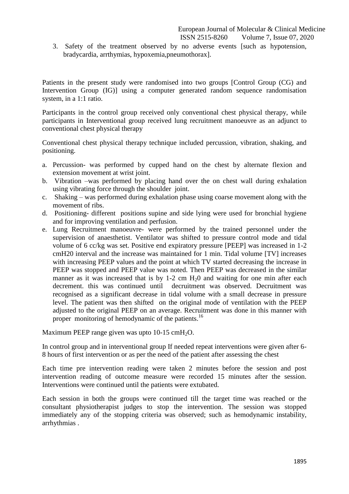3. Safety of the treatment observed by no adverse events [such as hypotension, bradycardia, arrthymias, hypoxemia,pneumothorax].

Patients in the present study were randomised into two groups [Control Group (CG) and Intervention Group (IG)] using a computer generated random sequence randomisation system, in a 1:1 ratio.

Participants in the control group received only conventional chest physical therapy, while participants in Interventional group received lung recruitment manoeuvre as an adjunct to conventional chest physical therapy

Conventional chest physical therapy technique included percussion, vibration, shaking, and positioning.

- a. Percussion- was performed by cupped hand on the chest by alternate flexion and extension movement at wrist joint.
- b. Vibration –was performed by placing hand over the on chest wall during exhalation using vibrating force through the shoulder joint.
- c. Shaking was performed during exhalation phase using coarse movement along with the movement of ribs.
- d. Positioning- different positions supine and side lying were used for bronchial hygiene and for improving ventilation and perfusion.
- e. Lung Recruitment manoeuvre- were performed by the trained personnel under the supervision of anaesthetist. Ventilator was shifted to pressure control mode and tidal volume of 6 cc/kg was set. Positive end expiratory pressure [PEEP] was increased in 1-2 cmH20 interval and the increase was maintained for 1 min. Tidal volume [TV] increases with increasing PEEP values and the point at which TV started decreasing the increase in PEEP was stopped and PEEP value was noted. Then PEEP was decreased in the similar manner as it was increased that is by  $1-2$  cm  $H<sub>2</sub>0$  and waiting for one min after each decrement. this was continued until decruitment was observed. Decruitment was recognised as a significant decrease in tidal volume with a small decrease in pressure level. The patient was then shifted on the original mode of ventilation with the PEEP adjusted to the original PEEP on an average. Recruitment was done in this manner with proper monitoring of hemodynamic of the patients.<sup>16</sup>

Maximum PEEP range given was upto  $10-15$  cmH<sub>2</sub>O.

In control group and in interventional group If needed repeat interventions were given after 6- 8 hours of first intervention or as per the need of the patient after assessing the chest

Each time pre intervention reading were taken 2 minutes before the session and post intervention reading of outcome measure were recorded 15 minutes after the session. Interventions were continued until the patients were extubated.

Each session in both the groups were continued till the target time was reached or the consultant physiotherapist judges to stop the intervention. The session was stopped immediately any of the stopping criteria was observed; such as hemodynamic instability, arrhythmias .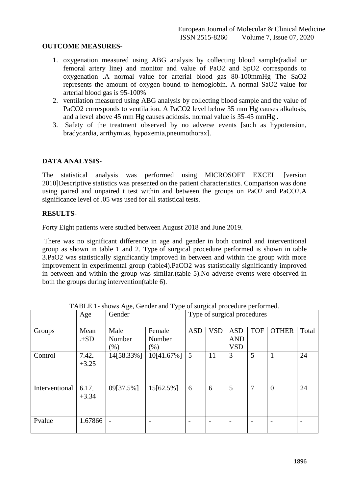## **OUTCOME MEASURES**-

- 1. oxygenation measured using ABG analysis by collecting blood sample(radial or femoral artery line) and monitor and value of PaO2 and SpO2 corresponds to oxygenation .A normal value for arterial blood gas 80-100mmHg The SaO2 represents the amount of oxygen bound to hemoglobin. A normal SaO2 value for arterial blood gas is 95-100%
- 2. ventilation measured using ABG analysis by collecting blood sample and the value of PaCO2 corresponds to ventilation. A PaCO2 level below 35 mm Hg causes alkalosis, and a level above 45 mm Hg causes acidosis. normal value is 35-45 mmHg .
- 3. Safety of the treatment observed by no adverse events [such as hypotension, bradycardia, arrthymias, hypoxemia,pneumothorax].

## **DATA ANALYSIS-**

The statistical analysis was performed using MICROSOFT EXCEL [version 2010]Descriptive statistics was presented on the patient characteristics. Comparison was done using paired and unpaired t test within and between the groups on PaO2 and PaCO2.A significance level of .05 was used for all statistical tests.

## **RESULTS-**

Forty Eight patients were studied between August 2018 and June 2019.

There was no significant difference in age and gender in both control and interventional group as shown in table 1 and 2. Type of surgical procedure performed is shown in table 3.PaO2 was statistically significantly improved in between and within the group with more improvement in experimental group (table4).PaCO2 was statistically significantly improved in between and within the group was similar.(table 5).No adverse events were observed in both the groups during intervention(table 6).

| Trible T shows rige, Genuci and Type of surgical procedure performed. |                  |            |            |                             |            |            |            |              |       |
|-----------------------------------------------------------------------|------------------|------------|------------|-----------------------------|------------|------------|------------|--------------|-------|
|                                                                       | Age              | Gender     |            | Type of surgical procedures |            |            |            |              |       |
| Groups                                                                | Mean             | Male       | Female     | <b>ASD</b>                  | <b>VSD</b> | <b>ASD</b> | <b>TOF</b> | <b>OTHER</b> | Total |
|                                                                       | $+SD$            | Number     | Number     |                             |            | <b>AND</b> |            |              |       |
|                                                                       |                  | (% )       | $(\% )$    |                             |            | <b>VSD</b> |            |              |       |
| Control                                                               | 7.42.<br>$+3.25$ | 14[58.33%] | 10[41.67%] | 5                           | 11         | 3          | 5          |              | 24    |
|                                                                       |                  |            |            |                             |            |            |            |              |       |
| Interventional                                                        | 6.17.<br>$+3.34$ | 09[37.5%]  | 15[62.5%]  | 6                           | 6          | 5          | 7          | $\theta$     | 24    |
| Pvalue                                                                | 1.67866          |            |            |                             |            |            |            |              |       |

TABLE 1- shows Age, Gender and Type of surgical procedure performed.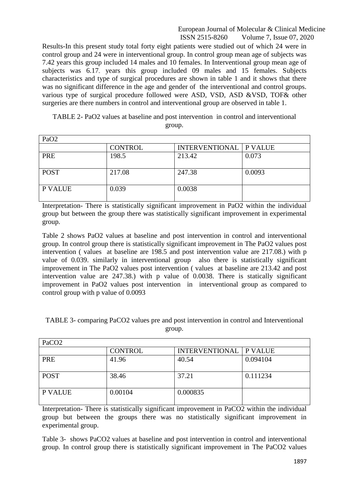Results-In this present study total forty eight patients were studied out of which 24 were in control group and 24 were in interventional group. In control group mean age of subjects was 7.42 years this group included 14 males and 10 females. In Interventional group mean age of subjects was 6.17, years this group included 09 males and 15 females. Subjects characteristics and type of surgical procedures are shown in table 1 and it shows that there was no significant difference in the age and gender of the interventional and control groups. various type of surgical procedure followed were ASD, VSD, ASD &VSD, TOF& other surgeries are there numbers in control and interventional group are observed in table 1.

TABLE 2- PaO2 values at baseline and post intervention in control and interventional group.

| PaO <sub>2</sub> |                |                                 |        |
|------------------|----------------|---------------------------------|--------|
|                  | <b>CONTROL</b> | <b>INTERVENTIONAL   P VALUE</b> |        |
| PRE              | 198.5          | 213.42                          | 0.073  |
| <b>POST</b>      | 217.08         | 247.38                          | 0.0093 |
| P VALUE          | 0.039          | 0.0038                          |        |

Interpretation- There is statistically significant improvement in PaO2 within the individual group but between the group there was statistically significant improvement in experimental group.

Table 2 shows PaO2 values at baseline and post intervention in control and interventional group. In control group there is statistically significant improvement in The PaO2 values post intervention ( values at baseline are 198.5 and post intervention value are 217.08.) with p value of 0.039. similarly in interventional group also there is statistically significant improvement in The PaO2 values post intervention ( values at baseline are 213.42 and post intervention value are 247.38.) with p value of 0.0038. There is statically significant improvement in PaO2 values post intervention in interventional group as compared to control group with p value of 0.0093

| PaCO <sub>2</sub> |                |                                 |          |  |
|-------------------|----------------|---------------------------------|----------|--|
|                   | <b>CONTROL</b> | <b>INTERVENTIONAL   P VALUE</b> |          |  |
| PRE               | 41.96          | 40.54                           | 0.094104 |  |
| <b>POST</b>       | 38.46          | 37.21                           | 0.111234 |  |
| <b>P VALUE</b>    | 0.00104        | 0.000835                        |          |  |

TABLE 3- comparing PaCO2 values pre and post intervention in control and Interventional group.

Interpretation- There is statistically significant improvement in PaCO2 within the individual group but between the groups there was no statistically significant improvement in experimental group.

Table 3- shows PaCO2 values at baseline and post intervention in control and interventional group. In control group there is statistically significant improvement in The PaCO2 values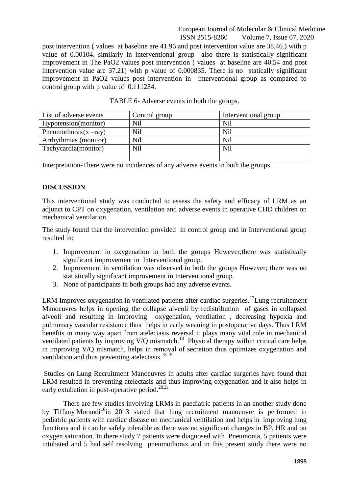post intervention ( values at baseline are 41.96 and post intervention value are 38.46.) with p value of 0.00104. similarly in interventional group also there is statistically significant improvement in The PaO2 values post intervention ( values at baseline are 40.54 and post intervention value are 37.21) with p value of 0.000835. There is no statically significant improvement in PaO2 values post intervention in interventional group as compared to control group with p value of 0.111234.

| List of adverse events   | Control group | Interventional group |
|--------------------------|---------------|----------------------|
| Hypotension(monitor)     | <b>Nil</b>    | <b>Nil</b>           |
| Pneumothorax $(x - ray)$ | <b>Nil</b>    | <b>Nil</b>           |
| Arrhythmias (monitor)    | <b>Nil</b>    | <b>Nil</b>           |
| Tachycardia(monitor)     | <b>Nil</b>    | Nil                  |
|                          |               |                      |

TABLE 6- Adverse events in both the groups.

Interpretation-There were no incidences of any adverse events in both the groups.

## **DISCUSSION**

This interventional study was conducted to assess the safety and efficacy of LRM as an adjunct to CPT on oxygenation, ventilation and adverse events in operative CHD children on mechanical ventilation.

The study found that the intervention provided in control group and in Interventional group resulted in:

- 1. Improvement in oxygenation in both the groups However;there was statistically significant improvement in Interventional group.
- 2. Improvement in ventilation was observed in both the groups However; there was no statistically significant improvement in Interventional group.
- 3. None of participants in both groups had any adverse events.

LRM Improves oxygenation in ventilated patients after cardiac surgeries.<sup>17</sup>Lung recruitement Manoeuvres helps in opening the collapse alveoli by redistribution of gases in collapsed alveoli and resulting in improving oxygenation, ventilation , decreasing hypoxia and pulmonary vascular resistance thus helps in early weaning in postoperative days. Thus LRM benefits in many way apart from atelectasis reversal it plays many vital role in mechanical ventilated patients by improving V/Q mismatch.<sup>18</sup> Physical therapy within critical care helps in improving V/Q mismatch, helps in removal of secretion thus optimizes oxygenation and ventilation and thus preventing atelectasis.<sup>18.19</sup>

Studies on Lung Recruitment Manoeuvres in adults after cardiac surgeries have found that LRM resulted in preventing atelectasis and thus improving oxygenation and it also helps in early extubation in post-operative period.<sup>20,21</sup>

There are few studies involving LRMs in paediatric patients in an another study done by Tiffany Morandi<sup>16</sup>in 2013 stated that lung recruitment manoeuvre is performed in pediatric patients with cardiac disease on mechanical ventilation and helps in improving lung functions and it can be safely tolerable as there was no significant changes in BP, HR and on oxygen saturation. In there study 7 patients were diagnosed with Pneumonia, 5 patients were intubated and 5 had self resolving pneumothorax and in this present study there were no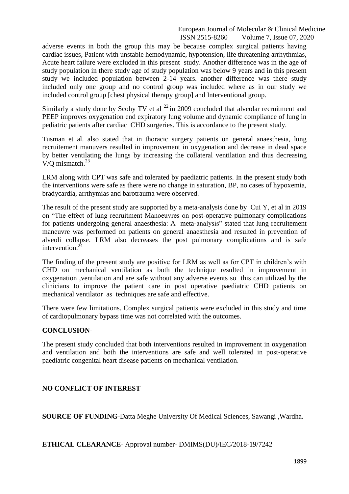adverse events in both the group this may be because complex surgical patients having cardiac issues, Patient with unstable hemodynamic, hypotension, life threatening arrhythmias, Acute heart failure were excluded in this present study. Another difference was in the age of study population in there study age of study population was below 9 years and in this present study we included population between 2-14 years. another difference was there study included only one group and no control group was included where as in our study we included control group [chest physical therapy group] and Interventional group.

Similarly a study done by Scohy TV et al  $^{22}$  in 2009 concluded that alveolar recruitment and PEEP improves oxygenation end expiratory lung volume and dynamic compliance of lung in pediatric patients after cardiac CHD surgeries. This is accordance to the present study.

Tusman et al. also stated that in thoracic surgery patients on general anaesthesia, lung recruitement manuvers resulted in improvement in oxygenation and decrease in dead space by better ventilating the lungs by increasing the collateral ventilation and thus decreasing V/Q mismatch. $^{23}$ 

LRM along with CPT was safe and tolerated by paediatric patients. In the present study both the interventions were safe as there were no change in saturation, BP, no cases of hypoxemia, bradycardia, arrthymias and barotrauma were observed.

The result of the present study are supported by a meta-analysis done by Cui Y, et al in 2019 on "The effect of lung recruitment Manoeuvres on post-operative pulmonary complications for patients undergoing general anaesthesia: A meta-analysis" stated that lung recruitement maneuvre was performed on patients on general anaesthesia and resulted in prevention of alveoli collapse. LRM also decreases the post pulmonary complications and is safe intervention. $^{24}$ 

The finding of the present study are positive for LRM as well as for CPT in children's with CHD on mechanical ventilation as both the technique resulted in improvement in oxygenation ,ventilation and are safe without any adverse events so this can utilized by the clinicians to improve the patient care in post operative paediatric CHD patients on mechanical ventilator as techniques are safe and effective.

There were few limitations. Complex surgical patients were excluded in this study and time of cardiopulmonary bypass time was not correlated with the outcomes.

## **CONCLUSION-**

The present study concluded that both interventions resulted in improvement in oxygenation and ventilation and both the interventions are safe and well tolerated in post-operative paediatric congenital heart disease patients on mechanical ventilation.

# **NO CONFLICT OF INTEREST**

**SOURCE OF FUNDING-**Datta Meghe University Of Medical Sciences, Sawangi ,Wardha.

**ETHICAL CLEARANCE-** Approval number- DMIMS(DU)/IEC/2018-19/7242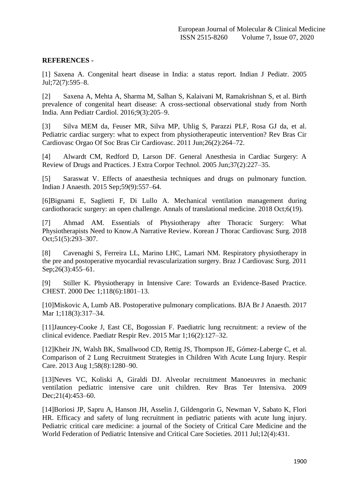## **REFERENCES -**

[1] Saxena A. Congenital heart disease in India: a status report. Indian J Pediatr. 2005 Jul;72(7):595–8.

[2] Saxena A, Mehta A, Sharma M, Salhan S, Kalaivani M, Ramakrishnan S, et al. Birth prevalence of congenital heart disease: A cross-sectional observational study from North India. Ann Pediatr Cardiol. 2016;9(3):205–9.

[3] Silva MEM da, Feuser MR, Silva MP, Uhlig S, Parazzi PLF, Rosa GJ da, et al. Pediatric cardiac surgery: what to expect from physiotherapeutic intervention? Rev Bras Cir Cardiovasc Orgao Of Soc Bras Cir Cardiovasc. 2011 Jun;26(2):264–72.

[4] Alwardt CM, Redford D, Larson DF. General Anesthesia in Cardiac Surgery: A Review of Drugs and Practices. J Extra Corpor Technol. 2005 Jun;37(2):227–35.

[5] Saraswat V. Effects of anaesthesia techniques and drugs on pulmonary function. Indian J Anaesth. 2015 Sep;59(9):557–64.

[6]Bignami E, Saglietti F, Di Lullo A. Mechanical ventilation management during cardiothoracic surgery: an open challenge. Annals of translational medicine. 2018 Oct;6(19).

[7] Ahmad AM. Essentials of Physiotherapy after Thoracic Surgery: What Physiotherapists Need to Know.A Narrative Review. Korean J Thorac Cardiovasc Surg. 2018 Oct;51(5):293–307.

[8] Cavenaghi S, Ferreira LL, Marino LHC, Lamari NM. Respiratory physiotherapy in the pre and postoperative myocardial revascularization surgery. Braz J Cardiovasc Surg. 2011 Sep; 26(3): 455–61.

[9] Stiller K. Physiotherapy in Intensive Care: Towards an Evidence-Based Practice. CHEST. 2000 Dec 1;118(6):1801–13.

[10]Miskovic A, Lumb AB. Postoperative pulmonary complications. BJA Br J Anaesth. 2017 Mar 1;118(3):317–34.

[11]Jauncey-Cooke J, East CE, Bogossian F. Paediatric lung recruitment: a review of the clinical evidence. Paediatr Respir Rev. 2015 Mar 1;16(2):127–32.

[12]Kheir JN, Walsh BK, Smallwood CD, Rettig JS, Thompson JE, Gómez-Laberge C, et al. Comparison of 2 Lung Recruitment Strategies in Children With Acute Lung Injury. Respir Care. 2013 Aug 1;58(8):1280–90.

[13]Neves VC, Koliski A, Giraldi DJ. Alveolar recruitment Manoeuvres in mechanic ventilation pediatric intensive care unit children. Rev Bras Ter Intensiva. 2009 Dec; 21(4): 453–60.

[14]Boriosi JP, Sapru A, Hanson JH, Asselin J, Gildengorin G, Newman V, Sabato K, Flori HR. Efficacy and safety of lung recruitment in pediatric patients with acute lung injury. Pediatric critical care medicine: a journal of the Society of Critical Care Medicine and the World Federation of Pediatric Intensive and Critical Care Societies. 2011 Jul;12(4):431.